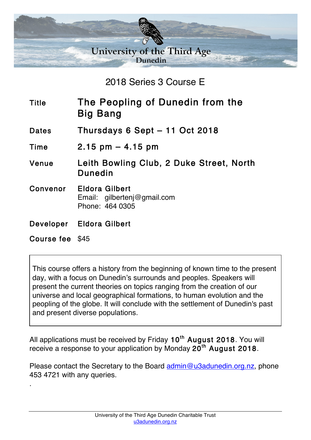

2018 Series 3 Course E

- Title The Peopling of Dunedin from the Big Bang
- Dates Thursdays 6 Sept 11 Oct 2018
- Time 2.15 pm 4.15 pm
- Venue Leith Bowling Club, 2 Duke Street, North Dunedin
- Convenor Eldora Gilbert Email: gilbertenj@gmail.com Phone: 464 0305
- Developer Eldora Gilbert
- Course fee \$45

.

This course offers a history from the beginning of known time to the present day, with a focus on Dunedin's surrounds and peoples. Speakers will present the current theories on topics ranging from the creation of our universe and local geographical formations, to human evolution and the peopling of the globe. It will conclude with the settlement of Dunedin's past and present diverse populations.

All applications must be received by Friday  $10^{th}$  August 2018. You will receive a response to your application by Monday  $20<sup>th</sup>$  August 2018.

Please contact the Secretary to the Board admin@u3adunedin.org.nz, phone 453 4721 with any queries.